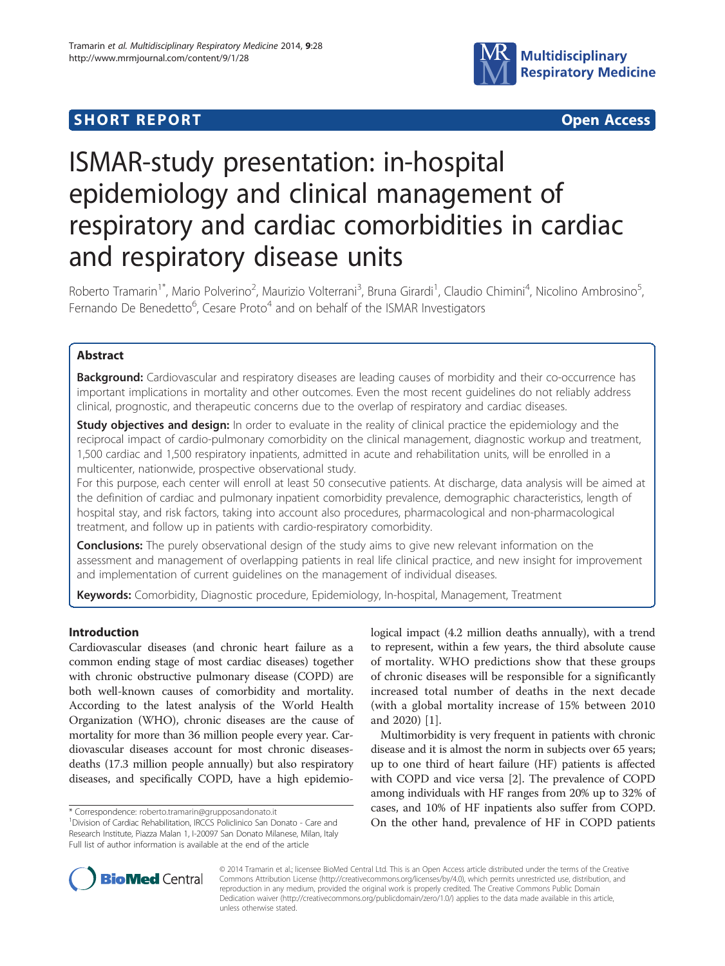# **SHORT REPORT SHORT CONSUMING THE CONSUMING THE CONSUMING THE CONSUMING THE CONSUMING THE CONSUMING THE CONSUMING THE CONSUMING THE CONSUMING THE CONSUMING THE CONSUMING THE CONSUMING THE CONSUMING THE CONSUMING THE CO**



# ISMAR-study presentation: in-hospital epidemiology and clinical management of respiratory and cardiac comorbidities in cardiac and respiratory disease units

Roberto Tramarin<sup>1\*</sup>, Mario Polverino<sup>2</sup>, Maurizio Volterrani<sup>3</sup>, Bruna Girardi<sup>1</sup>, Claudio Chimini<sup>4</sup>, Nicolino Ambrosino<sup>5</sup> , Fernando De Benedetto<sup>6</sup>, Cesare Proto<sup>4</sup> and on behalf of the ISMAR Investigators

# Abstract

Background: Cardiovascular and respiratory diseases are leading causes of morbidity and their co-occurrence has important implications in mortality and other outcomes. Even the most recent guidelines do not reliably address clinical, prognostic, and therapeutic concerns due to the overlap of respiratory and cardiac diseases.

Study objectives and design: In order to evaluate in the reality of clinical practice the epidemiology and the reciprocal impact of cardio-pulmonary comorbidity on the clinical management, diagnostic workup and treatment, 1,500 cardiac and 1,500 respiratory inpatients, admitted in acute and rehabilitation units, will be enrolled in a multicenter, nationwide, prospective observational study.

For this purpose, each center will enroll at least 50 consecutive patients. At discharge, data analysis will be aimed at the definition of cardiac and pulmonary inpatient comorbidity prevalence, demographic characteristics, length of hospital stay, and risk factors, taking into account also procedures, pharmacological and non-pharmacological treatment, and follow up in patients with cardio-respiratory comorbidity.

**Conclusions:** The purely observational design of the study aims to give new relevant information on the assessment and management of overlapping patients in real life clinical practice, and new insight for improvement and implementation of current guidelines on the management of individual diseases.

Keywords: Comorbidity, Diagnostic procedure, Epidemiology, In-hospital, Management, Treatment

# Introduction

Cardiovascular diseases (and chronic heart failure as a common ending stage of most cardiac diseases) together with chronic obstructive pulmonary disease (COPD) are both well-known causes of comorbidity and mortality. According to the latest analysis of the World Health Organization (WHO), chronic diseases are the cause of mortality for more than 36 million people every year. Cardiovascular diseases account for most chronic diseasesdeaths (17.3 million people annually) but also respiratory diseases, and specifically COPD, have a high epidemiological impact (4.2 million deaths annually), with a trend to represent, within a few years, the third absolute cause of mortality. WHO predictions show that these groups of chronic diseases will be responsible for a significantly increased total number of deaths in the next decade (with a global mortality increase of 15% between 2010 and 2020) [\[1](#page-4-0)].

Multimorbidity is very frequent in patients with chronic disease and it is almost the norm in subjects over 65 years; up to one third of heart failure (HF) patients is affected with COPD and vice versa [\[2\]](#page-4-0). The prevalence of COPD among individuals with HF ranges from 20% up to 32% of cases, and 10% of HF inpatients also suffer from COPD. On the other hand, prevalence of HF in COPD patients



© 2014 Tramarin et al.; licensee BioMed Central Ltd. This is an Open Access article distributed under the terms of the Creative Commons Attribution License [\(http://creativecommons.org/licenses/by/4.0\)](http://creativecommons.org/licenses/by/4.0), which permits unrestricted use, distribution, and reproduction in any medium, provided the original work is properly credited. The Creative Commons Public Domain Dedication waiver [\(http://creativecommons.org/publicdomain/zero/1.0/](http://creativecommons.org/publicdomain/zero/1.0/)) applies to the data made available in this article, unless otherwise stated.

<sup>\*</sup> Correspondence: [roberto.tramarin@grupposandonato.it](mailto:roberto.tramarin@grupposandonato.it) <sup>1</sup>

<sup>&</sup>lt;sup>1</sup> Division of Cardiac Rehabilitation, IRCCS Policlinico San Donato - Care and Research Institute, Piazza Malan 1, I-20097 San Donato Milanese, Milan, Italy Full list of author information is available at the end of the article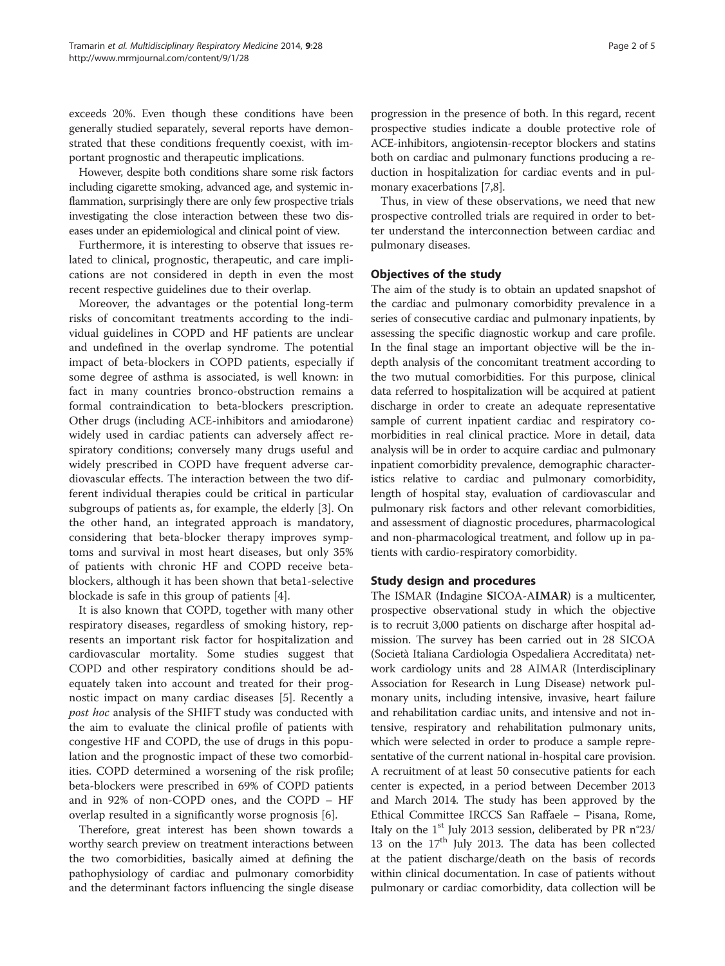exceeds 20%. Even though these conditions have been generally studied separately, several reports have demonstrated that these conditions frequently coexist, with important prognostic and therapeutic implications.

However, despite both conditions share some risk factors including cigarette smoking, advanced age, and systemic inflammation, surprisingly there are only few prospective trials investigating the close interaction between these two diseases under an epidemiological and clinical point of view.

Furthermore, it is interesting to observe that issues related to clinical, prognostic, therapeutic, and care implications are not considered in depth in even the most recent respective guidelines due to their overlap.

Moreover, the advantages or the potential long-term risks of concomitant treatments according to the individual guidelines in COPD and HF patients are unclear and undefined in the overlap syndrome. The potential impact of beta-blockers in COPD patients, especially if some degree of asthma is associated, is well known: in fact in many countries bronco-obstruction remains a formal contraindication to beta-blockers prescription. Other drugs (including ACE-inhibitors and amiodarone) widely used in cardiac patients can adversely affect respiratory conditions; conversely many drugs useful and widely prescribed in COPD have frequent adverse cardiovascular effects. The interaction between the two different individual therapies could be critical in particular subgroups of patients as, for example, the elderly [\[3](#page-4-0)]. On the other hand, an integrated approach is mandatory, considering that beta-blocker therapy improves symptoms and survival in most heart diseases, but only 35% of patients with chronic HF and COPD receive betablockers, although it has been shown that beta1-selective blockade is safe in this group of patients [\[4](#page-4-0)].

It is also known that COPD, together with many other respiratory diseases, regardless of smoking history, represents an important risk factor for hospitalization and cardiovascular mortality. Some studies suggest that COPD and other respiratory conditions should be adequately taken into account and treated for their prognostic impact on many cardiac diseases [\[5](#page-4-0)]. Recently a post hoc analysis of the SHIFT study was conducted with the aim to evaluate the clinical profile of patients with congestive HF and COPD, the use of drugs in this population and the prognostic impact of these two comorbidities. COPD determined a worsening of the risk profile; beta-blockers were prescribed in 69% of COPD patients and in 92% of non-COPD ones, and the COPD – HF overlap resulted in a significantly worse prognosis [\[6](#page-4-0)].

Therefore, great interest has been shown towards a worthy search preview on treatment interactions between the two comorbidities, basically aimed at defining the pathophysiology of cardiac and pulmonary comorbidity and the determinant factors influencing the single disease

progression in the presence of both. In this regard, recent prospective studies indicate a double protective role of ACE-inhibitors, angiotensin-receptor blockers and statins both on cardiac and pulmonary functions producing a reduction in hospitalization for cardiac events and in pulmonary exacerbations [\[7,8\]](#page-4-0).

Thus, in view of these observations, we need that new prospective controlled trials are required in order to better understand the interconnection between cardiac and pulmonary diseases.

# Objectives of the study

The aim of the study is to obtain an updated snapshot of the cardiac and pulmonary comorbidity prevalence in a series of consecutive cardiac and pulmonary inpatients, by assessing the specific diagnostic workup and care profile. In the final stage an important objective will be the indepth analysis of the concomitant treatment according to the two mutual comorbidities. For this purpose, clinical data referred to hospitalization will be acquired at patient discharge in order to create an adequate representative sample of current inpatient cardiac and respiratory comorbidities in real clinical practice. More in detail, data analysis will be in order to acquire cardiac and pulmonary inpatient comorbidity prevalence, demographic characteristics relative to cardiac and pulmonary comorbidity, length of hospital stay, evaluation of cardiovascular and pulmonary risk factors and other relevant comorbidities, and assessment of diagnostic procedures, pharmacological and non-pharmacological treatment, and follow up in patients with cardio-respiratory comorbidity.

# Study design and procedures

The ISMAR (Indagine SICOA-AIMAR) is a multicenter, prospective observational study in which the objective is to recruit 3,000 patients on discharge after hospital admission. The survey has been carried out in 28 SICOA (Società Italiana Cardiologia Ospedaliera Accreditata) network cardiology units and 28 AIMAR (Interdisciplinary Association for Research in Lung Disease) network pulmonary units, including intensive, invasive, heart failure and rehabilitation cardiac units, and intensive and not intensive, respiratory and rehabilitation pulmonary units, which were selected in order to produce a sample representative of the current national in-hospital care provision. A recruitment of at least 50 consecutive patients for each center is expected, in a period between December 2013 and March 2014. The study has been approved by the Ethical Committee IRCCS San Raffaele – Pisana, Rome, Italy on the 1<sup>st</sup> July 2013 session, deliberated by PR n°23/ 13 on the  $17<sup>th</sup>$  July 2013. The data has been collected at the patient discharge/death on the basis of records within clinical documentation. In case of patients without pulmonary or cardiac comorbidity, data collection will be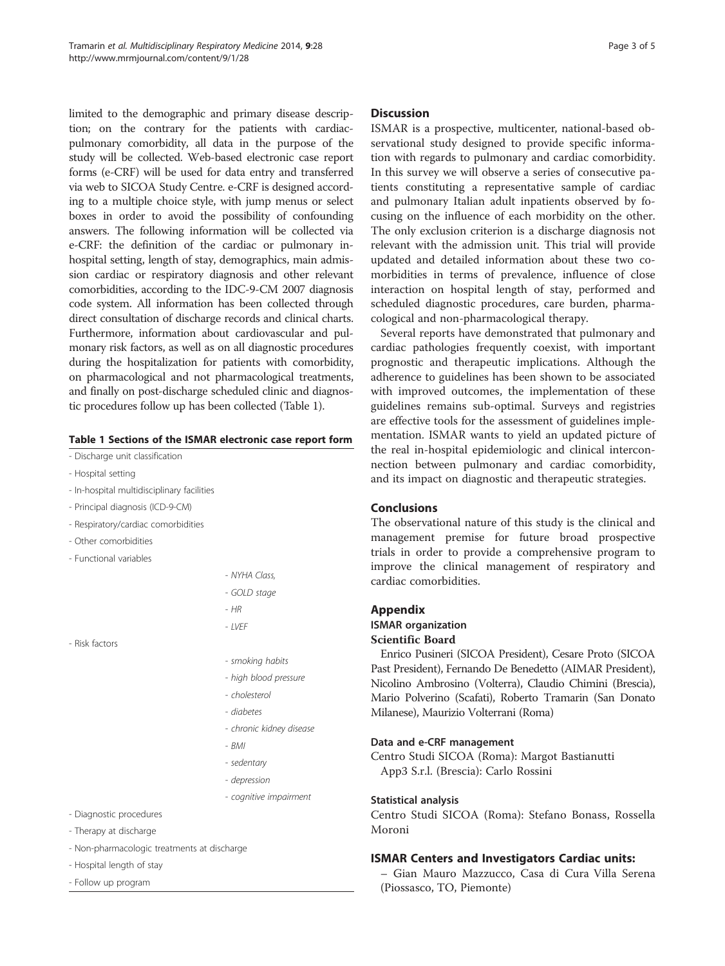limited to the demographic and primary disease description; on the contrary for the patients with cardiacpulmonary comorbidity, all data in the purpose of the study will be collected. Web-based electronic case report forms (e-CRF) will be used for data entry and transferred via web to SICOA Study Centre. e-CRF is designed according to a multiple choice style, with jump menus or select boxes in order to avoid the possibility of confounding answers. The following information will be collected via e-CRF: the definition of the cardiac or pulmonary inhospital setting, length of stay, demographics, main admission cardiac or respiratory diagnosis and other relevant comorbidities, according to the IDC-9-CM 2007 diagnosis code system. All information has been collected through direct consultation of discharge records and clinical charts. Furthermore, information about cardiovascular and pulmonary risk factors, as well as on all diagnostic procedures during the hospitalization for patients with comorbidity, on pharmacological and not pharmacological treatments, and finally on post-discharge scheduled clinic and diagnostic procedures follow up has been collected (Table 1).

#### Table 1 Sections of the ISMAR electronic case report form

- Discharge unit classification
- Hospital setting
- In-hospital multidisciplinary facilities
- Principal diagnosis (ICD-9-CM)
- Respiratory/cardiac comorbidities
- Other comorbidities
- Functional variables

- Risk factors

- GOLD stage - HR

- NYHA Class,

- $-$  IVFF
- 
- smoking habits
- high blood pressure
- cholesterol
- diabetes
- chronic kidney disease
- BMI
- sedentary
- depression
- cognitive impairment
- Diagnostic procedures
- Therapy at discharge
- Non-pharmacologic treatments at discharge
- Hospital length of stay
- Follow up program

#### **Discussion**

ISMAR is a prospective, multicenter, national-based observational study designed to provide specific information with regards to pulmonary and cardiac comorbidity. In this survey we will observe a series of consecutive patients constituting a representative sample of cardiac and pulmonary Italian adult inpatients observed by focusing on the influence of each morbidity on the other. The only exclusion criterion is a discharge diagnosis not relevant with the admission unit. This trial will provide updated and detailed information about these two comorbidities in terms of prevalence, influence of close interaction on hospital length of stay, performed and scheduled diagnostic procedures, care burden, pharmacological and non-pharmacological therapy.

Several reports have demonstrated that pulmonary and cardiac pathologies frequently coexist, with important prognostic and therapeutic implications. Although the adherence to guidelines has been shown to be associated with improved outcomes, the implementation of these guidelines remains sub-optimal. Surveys and registries are effective tools for the assessment of guidelines implementation. ISMAR wants to yield an updated picture of the real in-hospital epidemiologic and clinical interconnection between pulmonary and cardiac comorbidity, and its impact on diagnostic and therapeutic strategies.

### Conclusions

The observational nature of this study is the clinical and management premise for future broad prospective trials in order to provide a comprehensive program to improve the clinical management of respiratory and cardiac comorbidities.

#### Appendix

#### ISMAR organization

#### Scientific Board

Enrico Pusineri (SICOA President), Cesare Proto (SICOA Past President), Fernando De Benedetto (AIMAR President), Nicolino Ambrosino (Volterra), Claudio Chimini (Brescia), Mario Polverino (Scafati), Roberto Tramarin (San Donato Milanese), Maurizio Volterrani (Roma)

#### Data and e-CRF management

Centro Studi SICOA (Roma): Margot Bastianutti App3 S.r.l. (Brescia): Carlo Rossini

#### Statistical analysis

Centro Studi SICOA (Roma): Stefano Bonass, Rossella Moroni

#### ISMAR Centers and Investigators Cardiac units:

– Gian Mauro Mazzucco, Casa di Cura Villa Serena (Piossasco, TO, Piemonte)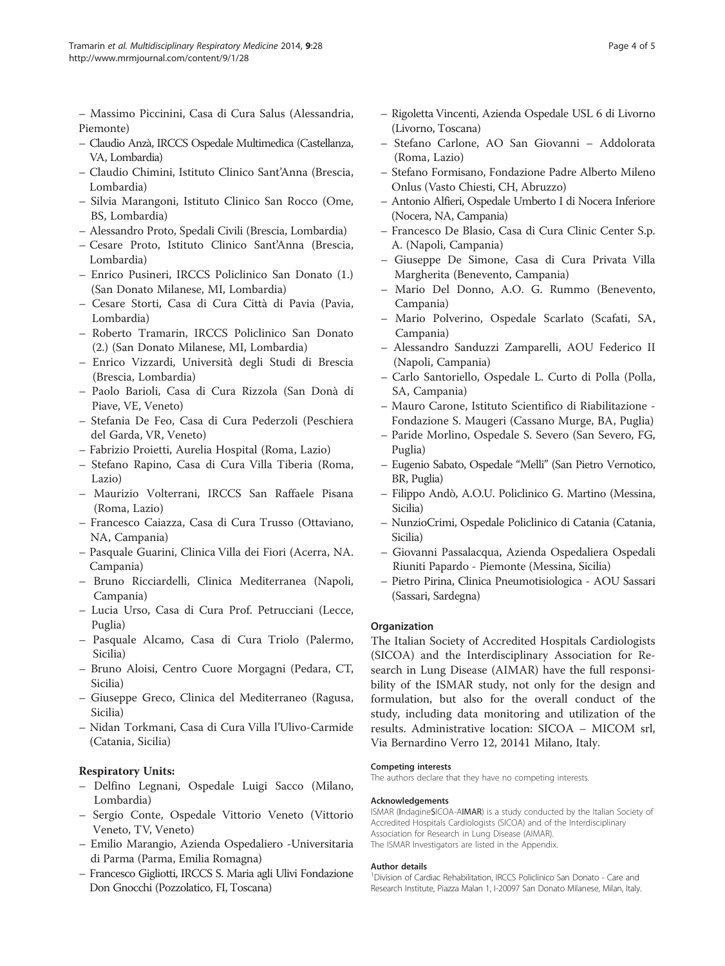– Massimo Piccinini, Casa di Cura Salus (Alessandria, Piemonte)

- Claudio Anzà, IRCCS Ospedale Multimedica (Castellanza, VA, Lombardia)
- Claudio Chimini, Istituto Clinico Sant'Anna (Brescia, Lombardia)
- Silvia Marangoni, Istituto Clinico San Rocco (Ome, BS, Lombardia)
- Alessandro Proto, Spedali Civili (Brescia, Lombardia)
- Cesare Proto, Istituto Clinico Sant'Anna (Brescia, Lombardia)
- Enrico Pusineri, IRCCS Policlinico San Donato (1.) (San Donato Milanese, MI, Lombardia)
- Cesare Storti, Casa di Cura Città di Pavia (Pavia, Lombardia)
- Roberto Tramarin, IRCCS Policlinico San Donato (2.) (San Donato Milanese, MI, Lombardia)
- Enrico Vizzardi, Università degli Studi di Brescia (Brescia, Lombardia)
- Paolo Barioli, Casa di Cura Rizzola (San Donà di Piave, VE, Veneto)
- Stefania De Feo, Casa di Cura Pederzoli (Peschiera del Garda, VR, Veneto)
- Fabrizio Proietti, Aurelia Hospital (Roma, Lazio)
- Stefano Rapino, Casa di Cura Villa Tiberia (Roma, Lazio)
- Maurizio Volterrani, IRCCS San Raffaele Pisana (Roma, Lazio)
- Francesco Caiazza, Casa di Cura Trusso (Ottaviano, NA, Campania)
- Pasquale Guarini, Clinica Villa dei Fiori (Acerra, NA. Campania)
- Bruno Ricciardelli, Clinica Mediterranea (Napoli, Campania)
- Lucia Urso, Casa di Cura Prof. Petrucciani (Lecce, Puglia)
- Pasquale Alcamo, Casa di Cura Triolo (Palermo, Sicilia)
- Bruno Aloisi, Centro Cuore Morgagni (Pedara, CT, Sicilia)
- Giuseppe Greco, Clinica del Mediterraneo (Ragusa, Sicilia)
- Nidan Torkmani, Casa di Cura Villa l'Ulivo-Carmide (Catania, Sicilia)

# Respiratory Units:

- Delfino Legnani, Ospedale Luigi Sacco (Milano, Lombardia)
- Sergio Conte, Ospedale Vittorio Veneto (Vittorio Veneto, TV, Veneto)
- Emilio Marangio, Azienda Ospedaliero -Universitaria di Parma (Parma, Emilia Romagna)
- Francesco Gigliotti, IRCCS S. Maria agli Ulivi Fondazione Don Gnocchi (Pozzolatico, FI, Toscana)
- Rigoletta Vincenti, Azienda Ospedale USL 6 di Livorno (Livorno, Toscana)
- Stefano Carlone, AO San Giovanni Addolorata (Roma, Lazio)
- Stefano Formisano, Fondazione Padre Alberto Mileno Onlus (Vasto Chiesti, CH, Abruzzo)
- Antonio Alfieri, Ospedale Umberto I di Nocera Inferiore (Nocera, NA, Campania)
- Francesco De Blasio, Casa di Cura Clinic Center S.p. A. (Napoli, Campania)
- Giuseppe De Simone, Casa di Cura Privata Villa Margherita (Benevento, Campania)
- Mario Del Donno, A.O. G. Rummo (Benevento, Campania)
- Mario Polverino, Ospedale Scarlato (Scafati, SA, Campania)
- Alessandro Sanduzzi Zamparelli, AOU Federico II (Napoli, Campania)
- Carlo Santoriello, Ospedale L. Curto di Polla (Polla, SA, Campania)
- Mauro Carone, Istituto Scientifico di Riabilitazione Fondazione S. Maugeri (Cassano Murge, BA, Puglia)
- Paride Morlino, Ospedale S. Severo (San Severo, FG, Puglia)
- Eugenio Sabato, Ospedale "Melli" (San Pietro Vernotico, BR, Puglia)
- Filippo Andò, A.O.U. Policlinico G. Martino (Messina, Sicilia)
- NunzioCrimi, Ospedale Policlinico di Catania (Catania, Sicilia)
- Giovanni Passalacqua, Azienda Ospedaliera Ospedali Riuniti Papardo - Piemonte (Messina, Sicilia)
- Pietro Pirina, Clinica Pneumotisiologica AOU Sassari (Sassari, Sardegna)

# **Organization**

The Italian Society of Accredited Hospitals Cardiologists (SICOA) and the Interdisciplinary Association for Research in Lung Disease (AIMAR) have the full responsibility of the ISMAR study, not only for the design and formulation, but also for the overall conduct of the study, including data monitoring and utilization of the results. Administrative location: SICOA – MICOM srl, Via Bernardino Verro 12, 20141 Milano, Italy.

# Competing interests

The authors declare that they have no competing interests.

#### Acknowledgements

ISMAR (IndagineSICOA-AIMAR) is a study conducted by the Italian Society of Accredited Hospitals Cardiologists (SICOA) and of the Interdisciplinary Association for Research in Lung Disease (AIMAR). The ISMAR Investigators are listed in the Appendix.

#### Author details

<sup>1</sup> Division of Cardiac Rehabilitation, IRCCS Policlinico San Donato - Care and Research Institute, Piazza Malan 1, I-20097 San Donato Milanese, Milan, Italy.